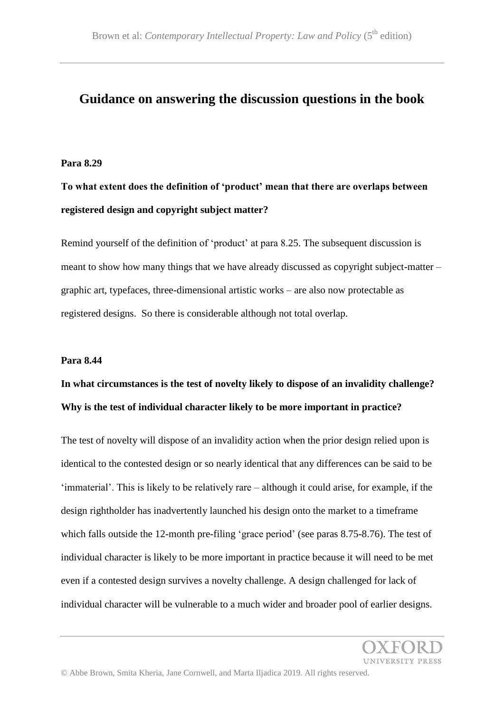# **Guidance on answering the discussion questions in the book**

#### **Para 8.29**

**To what extent does the definition of 'product' mean that there are overlaps between registered design and copyright subject matter?**

Remind yourself of the definition of 'product' at para 8.25. The subsequent discussion is meant to show how many things that we have already discussed as copyright subject-matter – graphic art, typefaces, three-dimensional artistic works – are also now protectable as registered designs. So there is considerable although not total overlap.

#### **Para 8.44**

# **In what circumstances is the test of novelty likely to dispose of an invalidity challenge? Why is the test of individual character likely to be more important in practice?**

The test of novelty will dispose of an invalidity action when the prior design relied upon is identical to the contested design or so nearly identical that any differences can be said to be 'immaterial'. This is likely to be relatively rare – although it could arise, for example, if the design rightholder has inadvertently launched his design onto the market to a timeframe which falls outside the 12-month pre-filing 'grace period' (see paras 8.75-8.76). The test of individual character is likely to be more important in practice because it will need to be met even if a contested design survives a novelty challenge. A design challenged for lack of individual character will be vulnerable to a much wider and broader pool of earlier designs.

**INIVERSITY PRESS**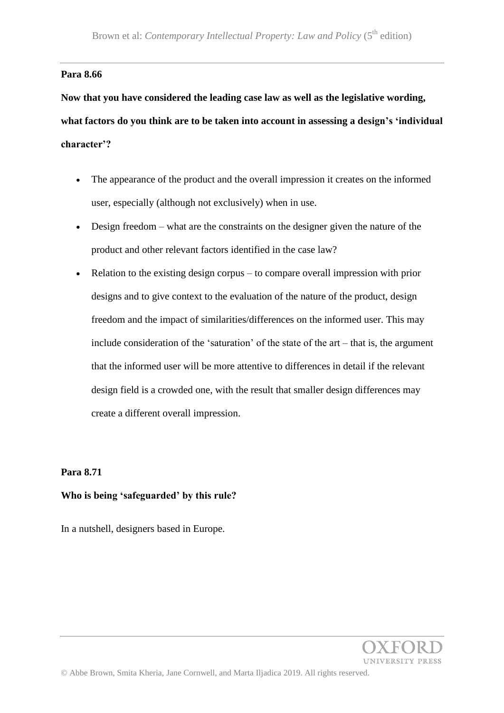# **Para 8.66**

**Now that you have considered the leading case law as well as the legislative wording, what factors do you think are to be taken into account in assessing a design's 'individual character'?**

- The appearance of the product and the overall impression it creates on the informed user, especially (although not exclusively) when in use.
- Design freedom what are the constraints on the designer given the nature of the product and other relevant factors identified in the case law?
- Relation to the existing design corpus to compare overall impression with prior designs and to give context to the evaluation of the nature of the product, design freedom and the impact of similarities/differences on the informed user. This may include consideration of the 'saturation' of the state of the art – that is, the argument that the informed user will be more attentive to differences in detail if the relevant design field is a crowded one, with the result that smaller design differences may create a different overall impression.

# **Para 8.71**

### **Who is being 'safeguarded' by this rule?**

In a nutshell, designers based in Europe.

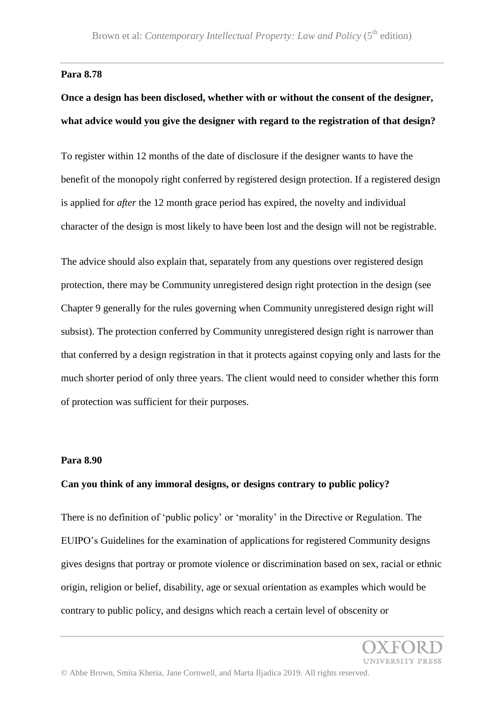#### **Para 8.78**

# **Once a design has been disclosed, whether with or without the consent of the designer, what advice would you give the designer with regard to the registration of that design?**

To register within 12 months of the date of disclosure if the designer wants to have the benefit of the monopoly right conferred by registered design protection. If a registered design is applied for *after* the 12 month grace period has expired, the novelty and individual character of the design is most likely to have been lost and the design will not be registrable.

The advice should also explain that, separately from any questions over registered design protection, there may be Community unregistered design right protection in the design (see Chapter 9 generally for the rules governing when Community unregistered design right will subsist). The protection conferred by Community unregistered design right is narrower than that conferred by a design registration in that it protects against copying only and lasts for the much shorter period of only three years. The client would need to consider whether this form of protection was sufficient for their purposes.

### **Para 8.90**

#### **Can you think of any immoral designs, or designs contrary to public policy?**

There is no definition of 'public policy' or 'morality' in the Directive or Regulation. The EUIPO's Guidelines for the examination of applications for registered Community designs gives designs that portray or promote violence or discrimination based on sex, racial or ethnic origin, religion or belief, disability, age or sexual orientation as examples which would be contrary to public policy, and designs which reach a certain level of obscenity or

**INIVERSITY PRESS**